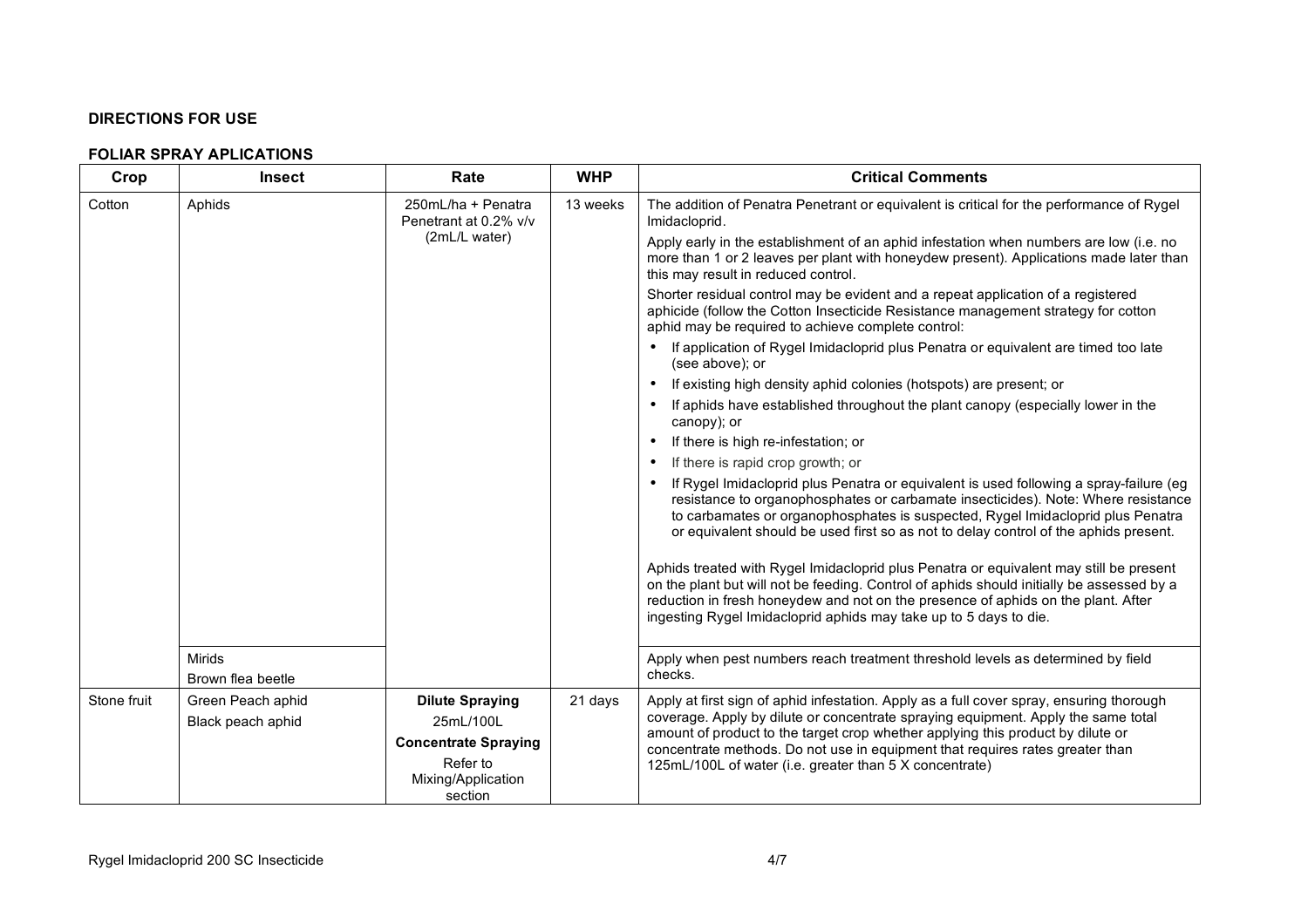## **DIRECTIONS FOR USE**

## **FOLIAR SPRAY APLICATIONS**

| Crop        | <b>Insect</b>     | Rate                                                         | <b>WHP</b>                                              | <b>Critical Comments</b>                                                                                                                                                                                                                                                                                                                                            |
|-------------|-------------------|--------------------------------------------------------------|---------------------------------------------------------|---------------------------------------------------------------------------------------------------------------------------------------------------------------------------------------------------------------------------------------------------------------------------------------------------------------------------------------------------------------------|
| Cotton      | Aphids            | 250mL/ha + Penatra<br>Penetrant at 0.2% v/v<br>(2mL/L water) | 13 weeks                                                | The addition of Penatra Penetrant or equivalent is critical for the performance of Rygel<br>Imidacloprid.                                                                                                                                                                                                                                                           |
|             |                   |                                                              |                                                         | Apply early in the establishment of an aphid infestation when numbers are low (i.e. no<br>more than 1 or 2 leaves per plant with honeydew present). Applications made later than<br>this may result in reduced control.                                                                                                                                             |
|             |                   |                                                              |                                                         | Shorter residual control may be evident and a repeat application of a registered<br>aphicide (follow the Cotton Insecticide Resistance management strategy for cotton<br>aphid may be required to achieve complete control:                                                                                                                                         |
|             |                   |                                                              |                                                         | If application of Rygel Imidacloprid plus Penatra or equivalent are timed too late<br>(see above); or                                                                                                                                                                                                                                                               |
|             |                   |                                                              |                                                         | If existing high density aphid colonies (hotspots) are present; or<br>$\bullet$                                                                                                                                                                                                                                                                                     |
|             |                   |                                                              |                                                         | If aphids have established throughout the plant canopy (especially lower in the<br>٠<br>canopy); or                                                                                                                                                                                                                                                                 |
|             |                   |                                                              |                                                         | If there is high re-infestation; or<br>$\bullet$                                                                                                                                                                                                                                                                                                                    |
|             |                   |                                                              |                                                         | If there is rapid crop growth; or                                                                                                                                                                                                                                                                                                                                   |
|             |                   |                                                              |                                                         | If Rygel Imidacloprid plus Penatra or equivalent is used following a spray-failure (eg<br>$\bullet$<br>resistance to organophosphates or carbamate insecticides). Note: Where resistance<br>to carbamates or organophosphates is suspected, Rygel Imidacloprid plus Penatra<br>or equivalent should be used first so as not to delay control of the aphids present. |
|             |                   |                                                              |                                                         | Aphids treated with Rygel Imidacloprid plus Penatra or equivalent may still be present<br>on the plant but will not be feeding. Control of aphids should initially be assessed by a<br>reduction in fresh honeydew and not on the presence of aphids on the plant. After<br>ingesting Rygel Imidacloprid aphids may take up to 5 days to die.                       |
|             | Mirids            |                                                              |                                                         | Apply when pest numbers reach treatment threshold levels as determined by field<br>checks.                                                                                                                                                                                                                                                                          |
|             | Brown flea beetle |                                                              |                                                         |                                                                                                                                                                                                                                                                                                                                                                     |
| Stone fruit | Green Peach aphid | <b>Dilute Spraying</b>                                       | 21 days                                                 | Apply at first sign of aphid infestation. Apply as a full cover spray, ensuring thorough<br>coverage. Apply by dilute or concentrate spraying equipment. Apply the same total<br>amount of product to the target crop whether applying this product by dilute or<br>concentrate methods. Do not use in equipment that requires rates greater than                   |
|             | Black peach aphid | 25mL/100L                                                    |                                                         |                                                                                                                                                                                                                                                                                                                                                                     |
|             |                   | <b>Concentrate Spraying</b>                                  |                                                         |                                                                                                                                                                                                                                                                                                                                                                     |
|             |                   | Refer to<br>Mixing/Application<br>section                    | 125mL/100L of water (i.e. greater than 5 X concentrate) |                                                                                                                                                                                                                                                                                                                                                                     |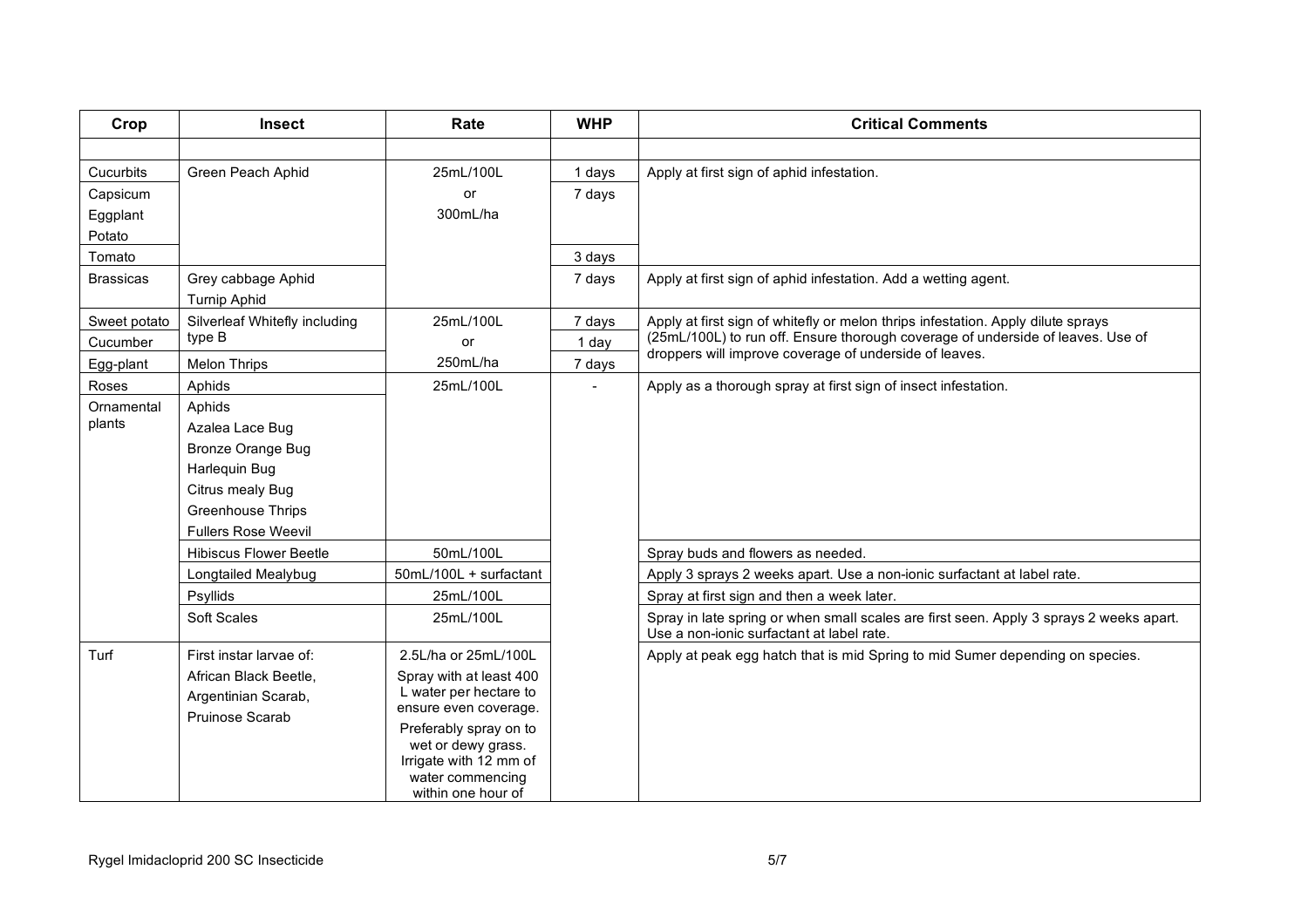| Crop             | <b>Insect</b>                 | Rate                                            | <b>WHP</b> | <b>Critical Comments</b>                                                                                                             |
|------------------|-------------------------------|-------------------------------------------------|------------|--------------------------------------------------------------------------------------------------------------------------------------|
|                  |                               |                                                 |            |                                                                                                                                      |
| Cucurbits        | Green Peach Aphid             | 25mL/100L                                       | 1 days     | Apply at first sign of aphid infestation.                                                                                            |
| Capsicum         |                               | or                                              | 7 days     |                                                                                                                                      |
| Eggplant         |                               | 300mL/ha                                        |            |                                                                                                                                      |
| Potato           |                               |                                                 |            |                                                                                                                                      |
| Tomato           |                               |                                                 | 3 days     |                                                                                                                                      |
| <b>Brassicas</b> | Grey cabbage Aphid            |                                                 | 7 days     | Apply at first sign of aphid infestation. Add a wetting agent.                                                                       |
|                  | <b>Turnip Aphid</b>           |                                                 |            |                                                                                                                                      |
| Sweet potato     | Silverleaf Whitefly including | 25mL/100L                                       | 7 days     | Apply at first sign of whitefly or melon thrips infestation. Apply dilute sprays                                                     |
| Cucumber         | type B                        | or                                              | 1 day      | (25mL/100L) to run off. Ensure thorough coverage of underside of leaves. Use of                                                      |
| Egg-plant        | <b>Melon Thrips</b>           | 250mL/ha                                        | 7 days     | droppers will improve coverage of underside of leaves.                                                                               |
| Roses            | Aphids                        | 25mL/100L                                       |            | Apply as a thorough spray at first sign of insect infestation.                                                                       |
| Ornamental       | Aphids                        |                                                 |            |                                                                                                                                      |
| plants           | Azalea Lace Bug               |                                                 |            |                                                                                                                                      |
|                  | Bronze Orange Bug             |                                                 |            |                                                                                                                                      |
|                  | Harlequin Bug                 |                                                 |            |                                                                                                                                      |
|                  | Citrus mealy Bug              |                                                 |            |                                                                                                                                      |
|                  | Greenhouse Thrips             |                                                 |            |                                                                                                                                      |
|                  | <b>Fullers Rose Weevil</b>    |                                                 |            |                                                                                                                                      |
|                  | <b>Hibiscus Flower Beetle</b> | 50mL/100L                                       |            | Spray buds and flowers as needed.                                                                                                    |
|                  | Longtailed Mealybug           | 50mL/100L + surfactant                          |            | Apply 3 sprays 2 weeks apart. Use a non-ionic surfactant at label rate.                                                              |
|                  | Psyllids                      | 25mL/100L                                       |            | Spray at first sign and then a week later.                                                                                           |
|                  | Soft Scales                   | 25mL/100L                                       |            | Spray in late spring or when small scales are first seen. Apply 3 sprays 2 weeks apart.<br>Use a non-ionic surfactant at label rate. |
| Turf             | First instar larvae of:       | 2.5L/ha or 25mL/100L                            |            | Apply at peak egg hatch that is mid Spring to mid Sumer depending on species.                                                        |
|                  | African Black Beetle,         | Spray with at least 400                         |            |                                                                                                                                      |
|                  | Argentinian Scarab,           | L water per hectare to                          |            |                                                                                                                                      |
|                  | Pruinose Scarab               | ensure even coverage.<br>Preferably spray on to |            |                                                                                                                                      |
|                  |                               | wet or dewy grass.                              |            |                                                                                                                                      |
|                  |                               | Irrigate with 12 mm of                          |            |                                                                                                                                      |
|                  |                               | water commencing<br>within one hour of          |            |                                                                                                                                      |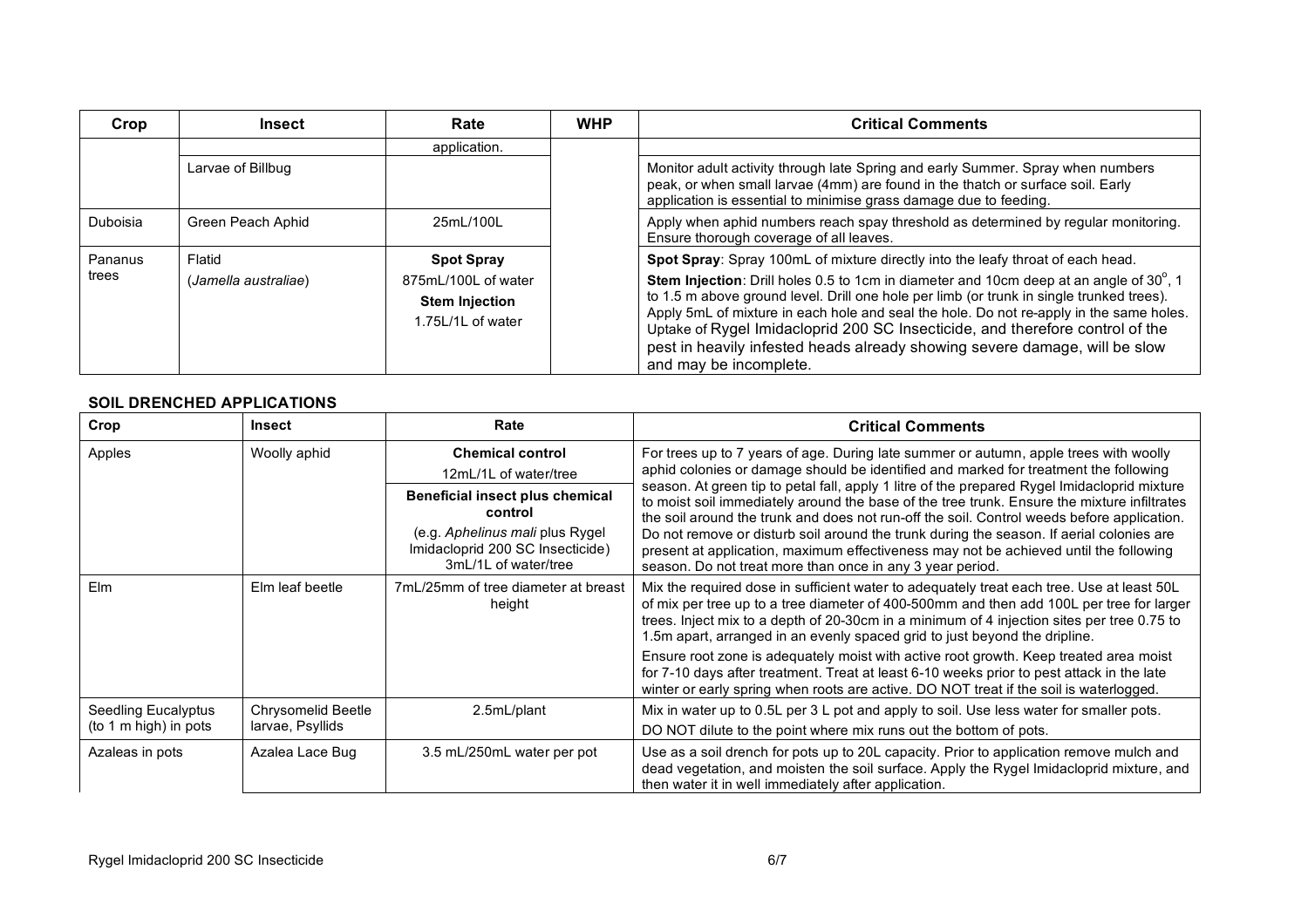| Crop             | <b>Insect</b>        | Rate                                                              | <b>WHP</b> | <b>Critical Comments</b>                                                                                                                                                                                                                                                                                                                                                                                                                                                       |
|------------------|----------------------|-------------------------------------------------------------------|------------|--------------------------------------------------------------------------------------------------------------------------------------------------------------------------------------------------------------------------------------------------------------------------------------------------------------------------------------------------------------------------------------------------------------------------------------------------------------------------------|
|                  |                      | application.                                                      |            |                                                                                                                                                                                                                                                                                                                                                                                                                                                                                |
|                  | Larvae of Billbug    |                                                                   |            | Monitor adult activity through late Spring and early Summer. Spray when numbers<br>peak, or when small larvae (4mm) are found in the thatch or surface soil. Early<br>application is essential to minimise grass damage due to feeding.                                                                                                                                                                                                                                        |
| Duboisia         | Green Peach Aphid    | 25ml /100l                                                        |            | Apply when aphid numbers reach spay threshold as determined by regular monitoring.<br>Ensure thorough coverage of all leaves.                                                                                                                                                                                                                                                                                                                                                  |
| Pananus<br>trees | Flatid               | <b>Spot Spray</b>                                                 |            | Spot Spray: Spray 100mL of mixture directly into the leafy throat of each head.                                                                                                                                                                                                                                                                                                                                                                                                |
|                  | (Jamella australiae) | 875mL/100L of water<br><b>Stem Injection</b><br>1.75L/1L of water |            | <b>Stem Injection</b> : Drill holes 0.5 to 1cm in diameter and 10cm deep at an angle of 30°, 1<br>to 1.5 m above ground level. Drill one hole per limb (or trunk in single trunked trees).<br>Apply 5mL of mixture in each hole and seal the hole. Do not re-apply in the same holes.<br>Uptake of Rygel Imidacloprid 200 SC Insecticide, and therefore control of the<br>pest in heavily infested heads already showing severe damage, will be slow<br>and may be incomplete. |

## **SOIL DRENCHED APPLICATIONS**

| Crop                  | Insect             | Rate                                                                                         | <b>Critical Comments</b>                                                                                                                                                                                                                                                                                                                                          |
|-----------------------|--------------------|----------------------------------------------------------------------------------------------|-------------------------------------------------------------------------------------------------------------------------------------------------------------------------------------------------------------------------------------------------------------------------------------------------------------------------------------------------------------------|
| Apples                | Woolly aphid       | <b>Chemical control</b>                                                                      | For trees up to 7 years of age. During late summer or autumn, apple trees with woolly                                                                                                                                                                                                                                                                             |
|                       |                    | 12mL/1L of water/tree                                                                        | aphid colonies or damage should be identified and marked for treatment the following                                                                                                                                                                                                                                                                              |
|                       |                    | <b>Beneficial insect plus chemical</b><br>control                                            | season. At green tip to petal fall, apply 1 litre of the prepared Rygel Imidacloprid mixture<br>to moist soil immediately around the base of the tree trunk. Ensure the mixture infiltrates<br>the soil around the trunk and does not run-off the soil. Control weeds before application.                                                                         |
|                       |                    | (e.g. Aphelinus mali plus Rygel)<br>Imidacloprid 200 SC Insecticide)<br>3mL/1L of water/tree | Do not remove or disturb soil around the trunk during the season. If aerial colonies are<br>present at application, maximum effectiveness may not be achieved until the following<br>season. Do not treat more than once in any 3 year period.                                                                                                                    |
| Elm                   | Elm leaf beetle    | 7mL/25mm of tree diameter at breast<br>height                                                | Mix the required dose in sufficient water to adequately treat each tree. Use at least 50L<br>of mix per tree up to a tree diameter of 400-500mm and then add 100L per tree for larger<br>trees. Inject mix to a depth of 20-30cm in a minimum of 4 injection sites per tree 0.75 to<br>1.5m apart, arranged in an evenly spaced grid to just beyond the dripline. |
|                       |                    |                                                                                              | Ensure root zone is adequately moist with active root growth. Keep treated area moist<br>for 7-10 days after treatment. Treat at least 6-10 weeks prior to pest attack in the late<br>winter or early spring when roots are active. DO NOT treat if the soil is waterlogged.                                                                                      |
| Seedling Eucalyptus   | Chrysomelid Beetle | 2.5mL/plant                                                                                  | Mix in water up to 0.5L per 3 L pot and apply to soil. Use less water for smaller pots.                                                                                                                                                                                                                                                                           |
| (to 1 m high) in pots | larvae, Psyllids   |                                                                                              | DO NOT dilute to the point where mix runs out the bottom of pots.                                                                                                                                                                                                                                                                                                 |
| Azaleas in pots       | Azalea Lace Bug    | 3.5 mL/250mL water per pot                                                                   | Use as a soil drench for pots up to 20L capacity. Prior to application remove mulch and<br>dead vegetation, and moisten the soil surface. Apply the Rygel Imidacloprid mixture, and<br>then water it in well immediately after application.                                                                                                                       |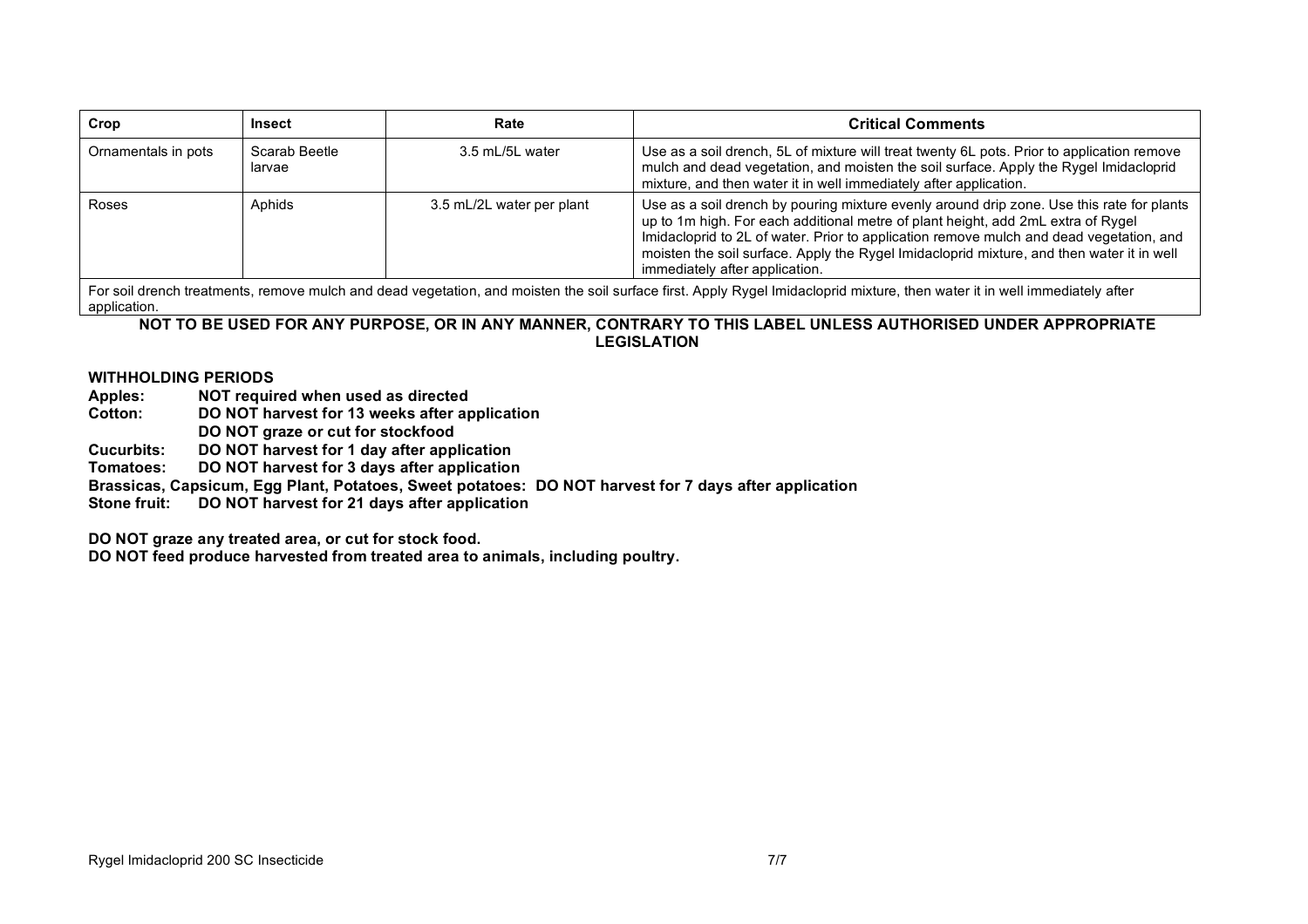| Crop                | Insect                  | Rate                      | <b>Critical Comments</b>                                                                                                                                                                                                                                                                                                                                                                                |
|---------------------|-------------------------|---------------------------|---------------------------------------------------------------------------------------------------------------------------------------------------------------------------------------------------------------------------------------------------------------------------------------------------------------------------------------------------------------------------------------------------------|
| Ornamentals in pots | Scarab Beetle<br>larvae | 3.5 mL/5L water           | Use as a soil drench, 5L of mixture will treat twenty 6L pots. Prior to application remove<br>mulch and dead vegetation, and moisten the soil surface. Apply the Rygel Imidacloprid<br>mixture, and then water it in well immediately after application.                                                                                                                                                |
| Roses               | Aphids                  | 3.5 mL/2L water per plant | Use as a soil drench by pouring mixture evenly around drip zone. Use this rate for plants<br>up to 1m high. For each additional metre of plant height, add 2mL extra of Rygel<br>Imidacloprid to 2L of water. Prior to application remove mulch and dead vegetation, and<br>moisten the soil surface. Apply the Rygel Imidacloprid mixture, and then water it in well<br>immediately after application. |

For soil drench treatments, remove mulch and dead vegetation, and moisten the soil surface first. Apply Rygel Imidacloprid mixture, then water it in well immediately after application.

**NOT TO BE USED FOR ANY PURPOSE, OR IN ANY MANNER, CONTRARY TO THIS LABEL UNLESS AUTHORISED UNDER APPROPRIATE LEGISLATION**

## **WITHHOLDING PERIODS**

- **Apples: NOT required when used as directed**
- **Cotton: DO NOT harvest for 13 weeks after application DO NOT graze or cut for stockfood**
- **Cucurbits: DO NOT harvest for 1 day after application**

**Tomatoes: DO NOT harvest for 3 days after application**

**Brassicas, Capsicum, Egg Plant, Potatoes, Sweet potatoes: DO NOT harvest for 7 days after application**

**Stone fruit: DO NOT harvest for 21 days after application**

**DO NOT graze any treated area, or cut for stock food.**

**DO NOT feed produce harvested from treated area to animals, including poultry.**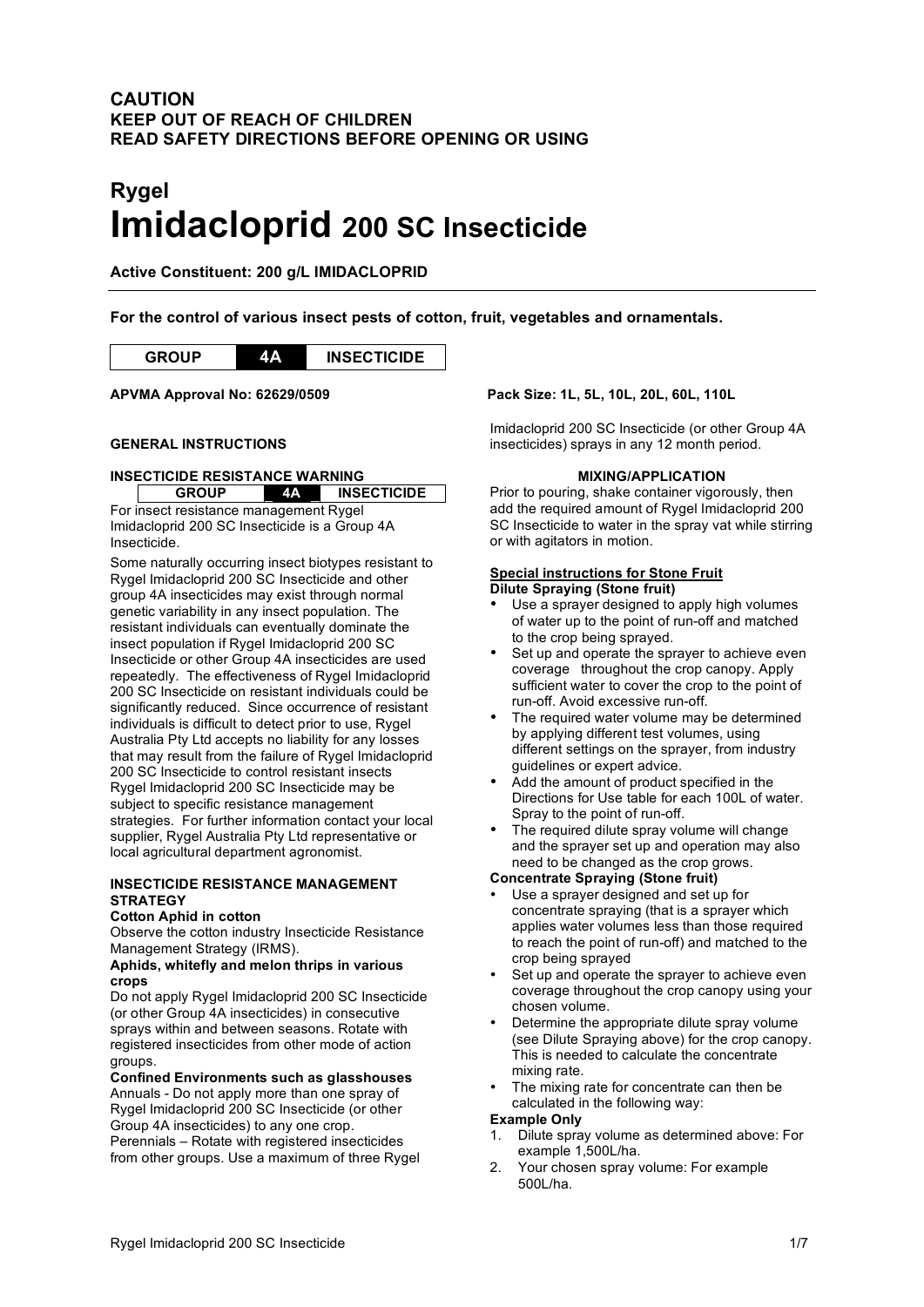# **Rygel Imidacloprid 200 SC Insecticide**

**Active Constituent: 200 g/L IMIDACLOPRID**

**For the control of various insect pests of cotton, fruit, vegetables and ornamentals.**



#### **GENERAL INSTRUCTIONS**

#### **INSECTICIDE RESISTANCE WARNING**

**GROUP 4A INSECTICIDE**

For insect resistance management Rygel Imidacloprid 200 SC Insecticide is a Group 4A Insecticide.

Some naturally occurring insect biotypes resistant to Rygel Imidacloprid 200 SC Insecticide and other group 4A insecticides may exist through normal genetic variability in any insect population. The resistant individuals can eventually dominate the insect population if Rygel Imidacloprid 200 SC Insecticide or other Group 4A insecticides are used repeatedly. The effectiveness of Rygel Imidacloprid 200 SC Insecticide on resistant individuals could be significantly reduced. Since occurrence of resistant individuals is difficult to detect prior to use, Rygel Australia Pty Ltd accepts no liability for any losses that may result from the failure of Rygel Imidacloprid 200 SC Insecticide to control resistant insects Rygel Imidacloprid 200 SC Insecticide may be subject to specific resistance management strategies. For further information contact your local supplier, Rygel Australia Pty Ltd representative or local agricultural department agronomist.

#### **INSECTICIDE RESISTANCE MANAGEMENT STRATEGY**

#### **Cotton Aphid in cotton**

Observe the cotton industry Insecticide Resistance Management Strategy (IRMS).

**Aphids, whitefly and melon thrips in various crops**

Do not apply Rygel Imidacloprid 200 SC Insecticide (or other Group 4A insecticides) in consecutive sprays within and between seasons. Rotate with registered insecticides from other mode of action groups.

**Confined Environments such as glasshouses** Annuals - Do not apply more than one spray of Rygel Imidacloprid 200 SC Insecticide (or other Group 4A insecticides) to any one crop. Perennials – Rotate with registered insecticides

from other groups. Use a maximum of three Rygel

**APVMA Approval No: 62629/0509 Pack Size: 1L, 5L, 10L, 20L, 60L, 110L**

Imidacloprid 200 SC Insecticide (or other Group 4A insecticides) sprays in any 12 month period.

## **MIXING/APPLICATION**

Prior to pouring, shake container vigorously, then add the required amount of Rygel Imidacloprid 200 SC Insecticide to water in the spray vat while stirring or with agitators in motion.

#### **Special instructions for Stone Fruit Dilute Spraying (Stone fruit)**

- Use a sprayer designed to apply high volumes of water up to the point of run-off and matched to the crop being sprayed.
- Set up and operate the sprayer to achieve even coverage throughout the crop canopy. Apply sufficient water to cover the crop to the point of run-off. Avoid excessive run-off.
- The required water volume may be determined by applying different test volumes, using different settings on the sprayer, from industry guidelines or expert advice.
- Add the amount of product specified in the Directions for Use table for each 100L of water. Spray to the point of run-off.
- The required dilute spray volume will change and the sprayer set up and operation may also need to be changed as the crop grows.

## **Concentrate Spraying (Stone fruit)**

- Use a sprayer designed and set up for concentrate spraying (that is a sprayer which applies water volumes less than those required to reach the point of run-off) and matched to the crop being sprayed
- Set up and operate the sprayer to achieve even coverage throughout the crop canopy using your chosen volume.
- Determine the appropriate dilute spray volume (see Dilute Spraying above) for the crop canopy. This is needed to calculate the concentrate mixing rate.
- The mixing rate for concentrate can then be calculated in the following way:

#### **Example Only**

- 1. Dilute spray volume as determined above: For example 1,500L/ha.
- 2. Your chosen spray volume: For example 500L/ha.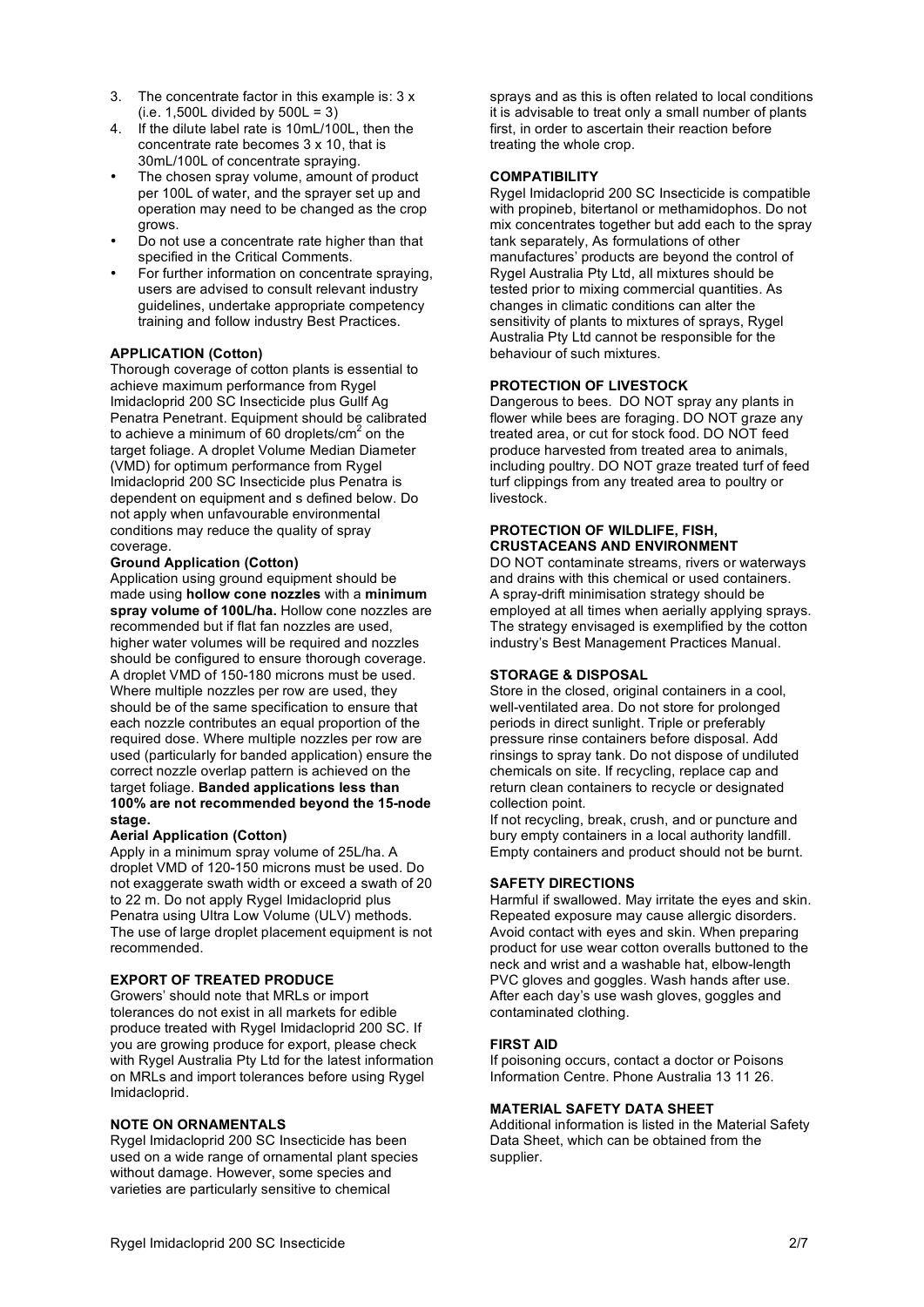- 3. The concentrate factor in this example is: 3 x  $(i.e. 1,500L$  divided by  $500L = 3$ )
- 4. If the dilute label rate is 10mL/100L, then the concentrate rate becomes 3 x 10, that is 30mL/100L of concentrate spraying.
- The chosen spray volume, amount of product per 100L of water, and the sprayer set up and operation may need to be changed as the crop grows.
- Do not use a concentrate rate higher than that specified in the Critical Comments.
- For further information on concentrate spraying, users are advised to consult relevant industry guidelines, undertake appropriate competency training and follow industry Best Practices.

#### **APPLICATION (Cotton)**

Thorough coverage of cotton plants is essential to achieve maximum performance from Rygel Imidacloprid 200 SC Insecticide plus Gullf Ag Penatra Penetrant. Equipment should be calibrated to achieve a minimum of 60 droplets/cm<sup>2</sup> on the target foliage. A droplet Volume Median Diameter (VMD) for optimum performance from Rygel Imidacloprid 200 SC Insecticide plus Penatra is dependent on equipment and s defined below. Do not apply when unfavourable environmental conditions may reduce the quality of spray coverage.

#### **Ground Application (Cotton)**

Application using ground equipment should be made using **hollow cone nozzles** with a **minimum spray volume of 100L/ha.** Hollow cone nozzles are recommended but if flat fan nozzles are used, higher water volumes will be required and nozzles should be configured to ensure thorough coverage. A droplet VMD of 150-180 microns must be used. Where multiple nozzles per row are used, they should be of the same specification to ensure that each nozzle contributes an equal proportion of the required dose. Where multiple nozzles per row are used (particularly for banded application) ensure the correct nozzle overlap pattern is achieved on the target foliage. **Banded applications less than 100% are not recommended beyond the 15-node stage.**

#### **Aerial Application (Cotton)**

Apply in a minimum spray volume of 25L/ha. A droplet VMD of 120-150 microns must be used. Do not exaggerate swath width or exceed a swath of 20 to 22 m. Do not apply Rygel Imidacloprid plus Penatra using Ultra Low Volume (ULV) methods. The use of large droplet placement equipment is not recommended.

## **EXPORT OF TREATED PRODUCE**

Growers' should note that MRLs or import tolerances do not exist in all markets for edible produce treated with Rygel Imidacloprid 200 SC. If you are growing produce for export, please check with Rygel Australia Pty Ltd for the latest information on MRLs and import tolerances before using Rygel Imidacloprid.

#### **NOTE ON ORNAMENTALS**

Rygel Imidacloprid 200 SC Insecticide has been used on a wide range of ornamental plant species without damage. However, some species and varieties are particularly sensitive to chemical

sprays and as this is often related to local conditions it is advisable to treat only a small number of plants first, in order to ascertain their reaction before treating the whole crop.

#### **COMPATIBILITY**

Rygel Imidacloprid 200 SC Insecticide is compatible with propineb, bitertanol or methamidophos. Do not mix concentrates together but add each to the spray tank separately, As formulations of other manufactures' products are beyond the control of Rygel Australia Pty Ltd, all mixtures should be tested prior to mixing commercial quantities. As changes in climatic conditions can alter the sensitivity of plants to mixtures of sprays, Rygel Australia Pty Ltd cannot be responsible for the behaviour of such mixtures.

#### **PROTECTION OF LIVESTOCK**

Dangerous to bees. DO NOT spray any plants in flower while bees are foraging. DO NOT graze any treated area, or cut for stock food. DO NOT feed produce harvested from treated area to animals, including poultry. DO NOT graze treated turf of feed turf clippings from any treated area to poultry or livestock.

#### **PROTECTION OF WILDLIFE, FISH, CRUSTACEANS AND ENVIRONMENT**

DO NOT contaminate streams, rivers or waterways and drains with this chemical or used containers. A spray-drift minimisation strategy should be employed at all times when aerially applying sprays. The strategy envisaged is exemplified by the cotton industry's Best Management Practices Manual.

## **STORAGE & DISPOSAL**

Store in the closed, original containers in a cool, well-ventilated area. Do not store for prolonged periods in direct sunlight. Triple or preferably pressure rinse containers before disposal. Add rinsings to spray tank. Do not dispose of undiluted chemicals on site. If recycling, replace cap and return clean containers to recycle or designated collection point.

If not recycling, break, crush, and or puncture and bury empty containers in a local authority landfill. Empty containers and product should not be burnt.

## **SAFETY DIRECTIONS**

Harmful if swallowed. May irritate the eyes and skin. Repeated exposure may cause allergic disorders. Avoid contact with eyes and skin. When preparing product for use wear cotton overalls buttoned to the neck and wrist and a washable hat, elbow-length PVC gloves and goggles. Wash hands after use. After each day's use wash gloves, goggles and contaminated clothing.

## **FIRST AID**

If poisoning occurs, contact a doctor or Poisons Information Centre. Phone Australia 13 11 26.

#### **MATERIAL SAFETY DATA SHEET**

Additional information is listed in the Material Safety Data Sheet, which can be obtained from the supplier.